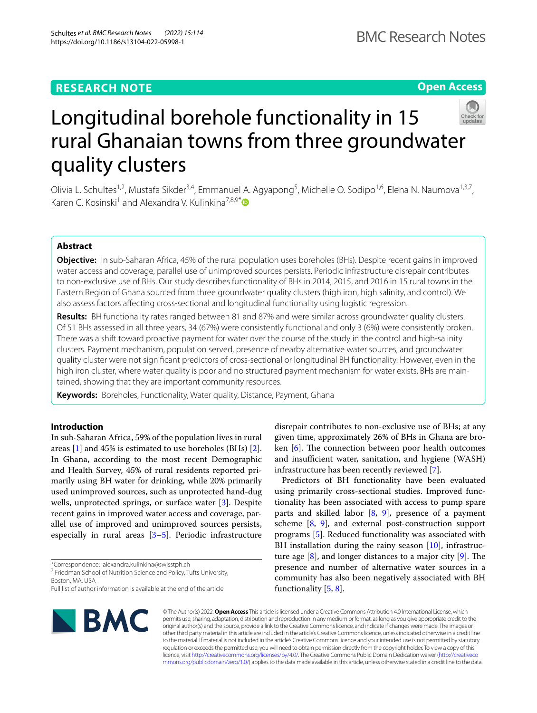# **RESEARCH NOTE**

# **Open Access**



# Longitudinal borehole functionality in 15 rural Ghanaian towns from three groundwater quality clusters

Olivia L. Schultes<sup>1,2</sup>, Mustafa Sikder<sup>3,4</sup>, Emmanuel A. Agyapong<sup>5</sup>, Michelle O. Sodipo<sup>1,6</sup>, Elena N. Naumova<sup>1,3,7</sup>, Karen C. Kosinski<sup>1</sup> and Alexandra V. Kulinkina<sup>7,8,9[\\*](http://orcid.org/0000-0002-4777-1254)</sup> $\bullet$ 

# **Abstract**

**Objective:** In sub-Saharan Africa, 45% of the rural population uses boreholes (BHs). Despite recent gains in improved water access and coverage, parallel use of unimproved sources persists. Periodic infrastructure disrepair contributes to non-exclusive use of BHs. Our study describes functionality of BHs in 2014, 2015, and 2016 in 15 rural towns in the Eastern Region of Ghana sourced from three groundwater quality clusters (high iron, high salinity, and control). We also assess factors afecting cross-sectional and longitudinal functionality using logistic regression.

**Results:** BH functionality rates ranged between 81 and 87% and were similar across groundwater quality clusters. Of 51 BHs assessed in all three years, 34 (67%) were consistently functional and only 3 (6%) were consistently broken. There was a shift toward proactive payment for water over the course of the study in the control and high-salinity clusters. Payment mechanism, population served, presence of nearby alternative water sources, and groundwater quality cluster were not signifcant predictors of cross-sectional or longitudinal BH functionality. However, even in the high iron cluster, where water quality is poor and no structured payment mechanism for water exists, BHs are maintained, showing that they are important community resources.

**Keywords:** Boreholes, Functionality, Water quality, Distance, Payment, Ghana

# **Introduction**

In sub-Saharan Africa, 59% of the population lives in rural areas [\[1](#page-4-0)] and 45% is estimated to use boreholes (BHs) [\[2](#page-4-1)]. In Ghana, according to the most recent Demographic and Health Survey, 45% of rural residents reported primarily using BH water for drinking, while 20% primarily used unimproved sources, such as unprotected hand-dug wells, unprotected springs, or surface water [[3\]](#page-4-2). Despite recent gains in improved water access and coverage, parallel use of improved and unimproved sources persists, especially in rural areas [[3–](#page-4-2)[5](#page-4-3)]. Periodic infrastructure

\*Correspondence: alexandra.kulinkina@swisstph.ch

<sup>7</sup> Friedman School of Nutrition Science and Policy, Tufts University, Boston, MA, USA

Full list of author information is available at the end of the article



disrepair contributes to non-exclusive use of BHs; at any given time, approximately 26% of BHs in Ghana are broken  $[6]$  $[6]$ . The connection between poor health outcomes and insufficient water, sanitation, and hygiene (WASH) infrastructure has been recently reviewed [[7\]](#page-4-5).

Predictors of BH functionality have been evaluated using primarily cross-sectional studies. Improved functionality has been associated with access to pump spare parts and skilled labor  $[8, 9]$  $[8, 9]$  $[8, 9]$  $[8, 9]$ , presence of a payment scheme [[8](#page-4-6), [9](#page-4-7)], and external post-construction support programs [\[5\]](#page-4-3). Reduced functionality was associated with BH installation during the rainy season [\[10](#page-4-8)], infrastructure age  $[8]$  $[8]$ , and longer distances to a major city  $[9]$  $[9]$ . The presence and number of alternative water sources in a community has also been negatively associated with BH functionality [\[5](#page-4-3), [8\]](#page-4-6).

© The Author(s) 2022. **Open Access** This article is licensed under a Creative Commons Attribution 4.0 International License, which permits use, sharing, adaptation, distribution and reproduction in any medium or format, as long as you give appropriate credit to the original author(s) and the source, provide a link to the Creative Commons licence, and indicate if changes were made. The images or other third party material in this article are included in the article's Creative Commons licence, unless indicated otherwise in a credit line to the material. If material is not included in the article's Creative Commons licence and your intended use is not permitted by statutory regulation or exceeds the permitted use, you will need to obtain permission directly from the copyright holder. To view a copy of this licence, visit [http://creativecommons.org/licenses/by/4.0/.](http://creativecommons.org/licenses/by/4.0/) The Creative Commons Public Domain Dedication waiver ([http://creativeco](http://creativecommons.org/publicdomain/zero/1.0/) [mmons.org/publicdomain/zero/1.0/](http://creativecommons.org/publicdomain/zero/1.0/)) applies to the data made available in this article, unless otherwise stated in a credit line to the data.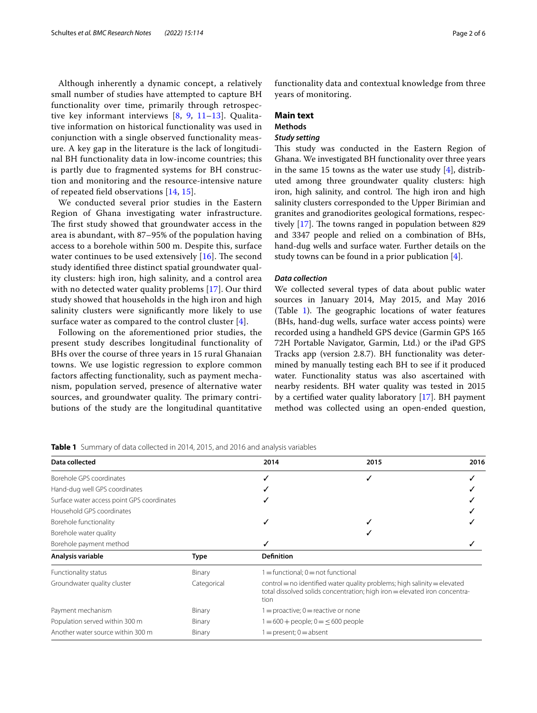Although inherently a dynamic concept, a relatively small number of studies have attempted to capture BH functionality over time, primarily through retrospective key informant interviews [[8,](#page-4-6) [9,](#page-4-7) [11–](#page-4-9)[13](#page-4-10)]. Qualitative information on historical functionality was used in conjunction with a single observed functionality measure. A key gap in the literature is the lack of longitudinal BH functionality data in low-income countries; this is partly due to fragmented systems for BH construction and monitoring and the resource-intensive nature of repeated feld observations [[14,](#page-4-11) [15\]](#page-4-12).

We conducted several prior studies in the Eastern Region of Ghana investigating water infrastructure. The first study showed that groundwater access in the area is abundant, with 87–95% of the population having access to a borehole within 500 m. Despite this, surface water continues to be used extensively  $[16]$ . The second study identifed three distinct spatial groundwater quality clusters: high iron, high salinity, and a control area with no detected water quality problems [[17](#page-4-14)]. Our third study showed that households in the high iron and high salinity clusters were signifcantly more likely to use surface water as compared to the control cluster [[4](#page-4-15)].

Following on the aforementioned prior studies, the present study describes longitudinal functionality of BHs over the course of three years in 15 rural Ghanaian towns. We use logistic regression to explore common factors afecting functionality, such as payment mechanism, population served, presence of alternative water sources, and groundwater quality. The primary contributions of the study are the longitudinal quantitative functionality data and contextual knowledge from three years of monitoring.

## **Main text**

# **Methods**

# *Study setting*

This study was conducted in the Eastern Region of Ghana. We investigated BH functionality over three years in the same 15 towns as the water use study  $[4]$  $[4]$ , distributed among three groundwater quality clusters: high iron, high salinity, and control. The high iron and high salinity clusters corresponded to the Upper Birimian and granites and granodiorites geological formations, respectively  $[17]$  $[17]$ . The towns ranged in population between 829 and 3347 people and relied on a combination of BHs, hand-dug wells and surface water. Further details on the study towns can be found in a prior publication [\[4](#page-4-15)].

## *Data collection*

We collected several types of data about public water sources in January 2014, May 2015, and May 2016 (Table  $1$ ). The geographic locations of water features (BHs, hand-dug wells, surface water access points) were recorded using a handheld GPS device (Garmin GPS 165 72H Portable Navigator, Garmin, Ltd.) or the iPad GPS Tracks app (version 2.8.7). BH functionality was determined by manually testing each BH to see if it produced water. Functionality status was also ascertained with nearby residents. BH water quality was tested in 2015 by a certifed water quality laboratory [\[17\]](#page-4-14). BH payment method was collected using an open-ended question,

<span id="page-1-0"></span>

| Data collected                             |             | 2014                                                                                                                                                               | 2015 | 2016 |  |  |
|--------------------------------------------|-------------|--------------------------------------------------------------------------------------------------------------------------------------------------------------------|------|------|--|--|
| Borehole GPS coordinates                   |             |                                                                                                                                                                    | ✓    |      |  |  |
| Hand-dug well GPS coordinates              |             |                                                                                                                                                                    |      |      |  |  |
| Surface water access point GPS coordinates |             |                                                                                                                                                                    |      |      |  |  |
| Household GPS coordinates                  |             |                                                                                                                                                                    |      |      |  |  |
| Borehole functionality                     |             |                                                                                                                                                                    |      |      |  |  |
| Borehole water quality                     |             |                                                                                                                                                                    |      |      |  |  |
| Borehole payment method                    |             |                                                                                                                                                                    |      |      |  |  |
| Analysis variable                          | <b>Type</b> | <b>Definition</b>                                                                                                                                                  |      |      |  |  |
| Functionality status                       | Binary      | $1 =$ functional; $0 =$ not functional                                                                                                                             |      |      |  |  |
| Groundwater quality cluster                | Categorical | $control = no$ identified water quality problems; high salinity $=$ elevated<br>total dissolved solids concentration; high iron = elevated iron concentra-<br>tion |      |      |  |  |
| Payment mechanism                          | Binary      | $1 =$ proactive; $0 =$ reactive or none                                                                                                                            |      |      |  |  |
| Population served within 300 m             | Binary      | $1 = 600 +$ people; $0 = \leq 600$ people                                                                                                                          |      |      |  |  |
| Another water source within 300 m          | Binary      | $1 =$ present; $0 =$ absent                                                                                                                                        |      |      |  |  |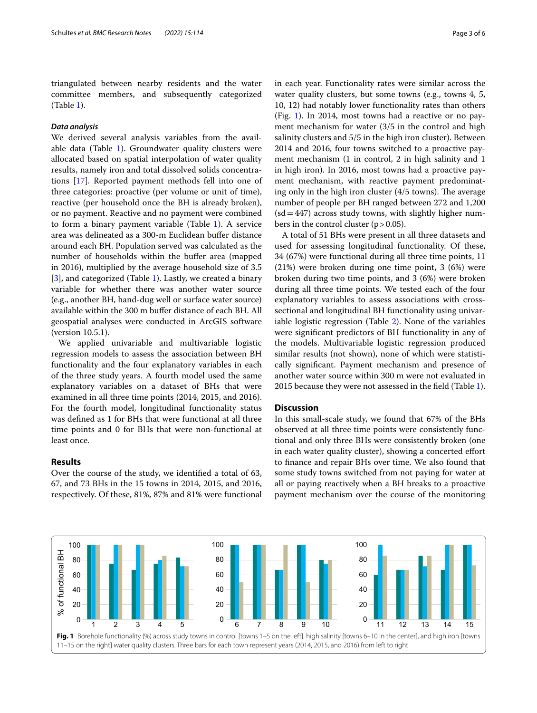triangulated between nearby residents and the water committee members, and subsequently categorized (Table [1](#page-1-0)).

# *Data analysis*

We derived several analysis variables from the available data (Table  $1$ ). Groundwater quality clusters were allocated based on spatial interpolation of water quality results, namely iron and total dissolved solids concentrations [\[17](#page-4-14)]. Reported payment methods fell into one of three categories: proactive (per volume or unit of time), reactive (per household once the BH is already broken), or no payment. Reactive and no payment were combined to form a binary payment variable (Table [1\)](#page-1-0). A service area was delineated as a 300-m Euclidean bufer distance around each BH. Population served was calculated as the number of households within the bufer area (mapped in 2016), multiplied by the average household size of 3.5 [[3\]](#page-4-2), and categorized (Table [1\)](#page-1-0). Lastly, we created a binary variable for whether there was another water source (e.g., another BH, hand-dug well or surface water source) available within the 300 m bufer distance of each BH. All geospatial analyses were conducted in ArcGIS software (version 10.5.1).

We applied univariable and multivariable logistic regression models to assess the association between BH functionality and the four explanatory variables in each of the three study years. A fourth model used the same explanatory variables on a dataset of BHs that were examined in all three time points (2014, 2015, and 2016). For the fourth model, longitudinal functionality status was defned as 1 for BHs that were functional at all three time points and 0 for BHs that were non-functional at least once.

# **Results**

Over the course of the study, we identifed a total of 63, 67, and 73 BHs in the 15 towns in 2014, 2015, and 2016, respectively. Of these, 81%, 87% and 81% were functional in each year. Functionality rates were similar across the water quality clusters, but some towns (e.g., towns 4, 5, 10, 12) had notably lower functionality rates than others (Fig. [1](#page-2-0)). In 2014, most towns had a reactive or no payment mechanism for water (3/5 in the control and high salinity clusters and 5/5 in the high iron cluster). Between 2014 and 2016, four towns switched to a proactive payment mechanism (1 in control, 2 in high salinity and 1 in high iron). In 2016, most towns had a proactive payment mechanism, with reactive payment predominating only in the high iron cluster  $(4/5 \text{ towns})$ . The average number of people per BH ranged between 272 and 1,200  $(sd=447)$  across study towns, with slightly higher numbers in the control cluster  $(p > 0.05)$ .

A total of 51 BHs were present in all three datasets and used for assessing longitudinal functionality. Of these, 34 (67%) were functional during all three time points, 11 (21%) were broken during one time point, 3 (6%) were broken during two time points, and 3 (6%) were broken during all three time points. We tested each of the four explanatory variables to assess associations with crosssectional and longitudinal BH functionality using univariable logistic regression (Table [2\)](#page-3-0). None of the variables were signifcant predictors of BH functionality in any of the models. Multivariable logistic regression produced similar results (not shown), none of which were statistically signifcant. Payment mechanism and presence of another water source within 300 m were not evaluated in 2015 because they were not assessed in the feld (Table [1](#page-1-0)).

## **Discussion**

In this small-scale study, we found that 67% of the BHs observed at all three time points were consistently functional and only three BHs were consistently broken (one in each water quality cluster), showing a concerted effort to fnance and repair BHs over time. We also found that some study towns switched from not paying for water at all or paying reactively when a BH breaks to a proactive payment mechanism over the course of the monitoring

<span id="page-2-0"></span>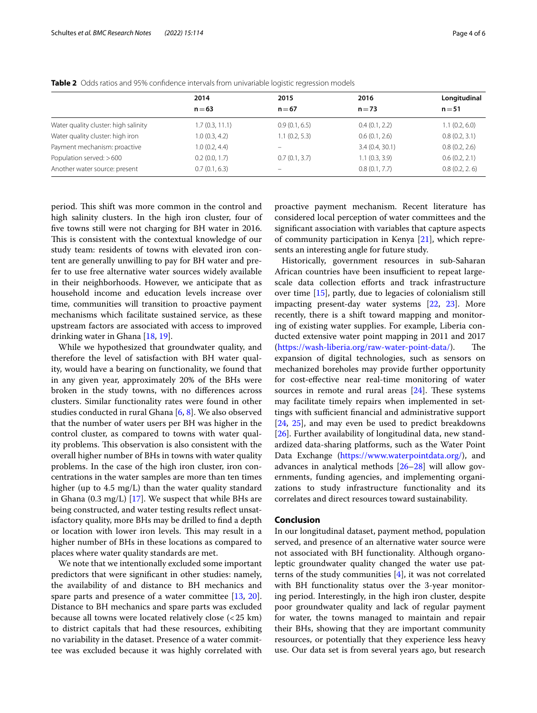|                                      | 2014<br>$n = 63$ | 2015<br>$n = 67$ | 2016<br>$n = 73$ | Longitudinal<br>$n = 51$ |
|--------------------------------------|------------------|------------------|------------------|--------------------------|
|                                      |                  |                  |                  |                          |
| Water quality cluster: high salinity | 1.7(0.3, 11.1)   | 0.9(0.1, 6.5)    | 0.4(0.1, 2.2)    | 1.1(0.2, 6.0)            |
| Water quality cluster: high iron     | 1.0(0.3, 4.2)    | 1.1(0.2, 5.3)    | 0.6(0.1, 2.6)    | 0.8(0.2, 3.1)            |
| Payment mechanism: proactive         | 1.0(0.2, 4.4)    | -                | 3.4(0.4, 30.1)   | 0.8(0.2, 2.6)            |
| Population served: > 600             | 0.2(0.0, 1.7)    | 0.7(0.1, 3.7)    | 1.1(0.3, 3.9)    | 0.6(0.2, 2.1)            |
| Another water source: present        | 0.7(0.1, 6.3)    | -                | 0.8(0.1, 7.7)    | 0.8(0.2, 2.6)            |

<span id="page-3-0"></span>**Table 2** Odds ratios and 95% confdence intervals from univariable logistic regression models

period. This shift was more common in the control and high salinity clusters. In the high iron cluster, four of fve towns still were not charging for BH water in 2016. This is consistent with the contextual knowledge of our study team: residents of towns with elevated iron content are generally unwilling to pay for BH water and prefer to use free alternative water sources widely available in their neighborhoods. However, we anticipate that as household income and education levels increase over time, communities will transition to proactive payment mechanisms which facilitate sustained service, as these upstream factors are associated with access to improved drinking water in Ghana [[18,](#page-5-0) [19](#page-5-1)].

While we hypothesized that groundwater quality, and therefore the level of satisfaction with BH water quality, would have a bearing on functionality, we found that in any given year, approximately 20% of the BHs were broken in the study towns, with no diferences across clusters. Similar functionality rates were found in other studies conducted in rural Ghana  $[6, 8]$  $[6, 8]$  $[6, 8]$ . We also observed that the number of water users per BH was higher in the control cluster, as compared to towns with water quality problems. This observation is also consistent with the overall higher number of BHs in towns with water quality problems. In the case of the high iron cluster, iron concentrations in the water samples are more than ten times higher (up to 4.5 mg/L) than the water quality standard in Ghana (0.3 mg/L) [\[17](#page-4-14)]. We suspect that while BHs are being constructed, and water testing results refect unsatisfactory quality, more BHs may be drilled to fnd a depth or location with lower iron levels. This may result in a higher number of BHs in these locations as compared to places where water quality standards are met.

We note that we intentionally excluded some important predictors that were signifcant in other studies: namely, the availability of and distance to BH mechanics and spare parts and presence of a water committee [[13,](#page-4-10) [20](#page-5-2)]. Distance to BH mechanics and spare parts was excluded because all towns were located relatively close (<25 km) to district capitals that had these resources, exhibiting no variability in the dataset. Presence of a water committee was excluded because it was highly correlated with proactive payment mechanism. Recent literature has considered local perception of water committees and the signifcant association with variables that capture aspects of community participation in Kenya [\[21](#page-5-3)], which represents an interesting angle for future study.

Historically, government resources in sub-Saharan African countries have been insufficient to repeat largescale data collection efforts and track infrastructure over time [[15](#page-4-12)], partly, due to legacies of colonialism still impacting present-day water systems [\[22](#page-5-4), [23\]](#page-5-5). More recently, there is a shift toward mapping and monitoring of existing water supplies. For example, Liberia conducted extensive water point mapping in 2011 and 2017 (<https://wash-liberia.org/raw-water-point-data/>). The expansion of digital technologies, such as sensors on mechanized boreholes may provide further opportunity for cost-efective near real-time monitoring of water sources in remote and rural areas  $[24]$  $[24]$ . These systems may facilitate timely repairs when implemented in settings with sufficient financial and administrative support [[24,](#page-5-6) [25\]](#page-5-7), and may even be used to predict breakdowns [[26\]](#page-5-8). Further availability of longitudinal data, new standardized data-sharing platforms, such as the Water Point Data Exchange [\(https://www.waterpointdata.org/](https://www.waterpointdata.org/)), and advances in analytical methods [\[26](#page-5-8)[–28](#page-5-9)] will allow governments, funding agencies, and implementing organizations to study infrastructure functionality and its correlates and direct resources toward sustainability.

## **Conclusion**

In our longitudinal dataset, payment method, population served, and presence of an alternative water source were not associated with BH functionality. Although organoleptic groundwater quality changed the water use patterns of the study communities [[4\]](#page-4-15), it was not correlated with BH functionality status over the 3-year monitoring period. Interestingly, in the high iron cluster, despite poor groundwater quality and lack of regular payment for water, the towns managed to maintain and repair their BHs, showing that they are important community resources, or potentially that they experience less heavy use. Our data set is from several years ago, but research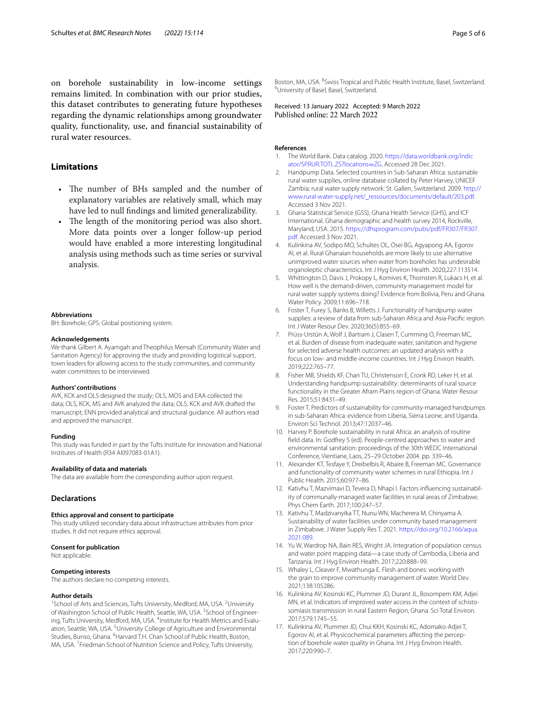on borehole sustainability in low-income settings remains limited. In combination with our prior studies, this dataset contributes to generating future hypotheses regarding the dynamic relationships among groundwater quality, functionality, use, and fnancial sustainability of rural water resources.

# **Limitations**

- The number of BHs sampled and the number of explanatory variables are relatively small, which may have led to null fndings and limited generalizability.
- The length of the monitoring period was also short. More data points over a longer follow-up period would have enabled a more interesting longitudinal analysis using methods such as time series or survival analysis.

#### **Abbreviations**

BH: Borehole; GPS: Global positioning system.

#### **Acknowledgements**

We thank Gilbert A. Ayamgah and Theophilus Mensah (Community Water and Sanitation Agency) for approving the study and providing logistical support, town leaders for allowing access to the study communities, and community water committees to be interviewed.

#### **Authors' contributions**

AVK, KCK and OLS designed the study; OLS, MOS and EAA collected the data; OLS, KCK, MS and AVK analyzed the data; OLS, KCK and AVK drafted the manuscript; ENN provided analytical and structural guidance. All authors read and approved the manuscript.

## **Funding**

This study was funded in part by the Tufts Institute for Innovation and National Institutes of Health (R34 AI097083-01A1).

#### **Availability of data and materials**

The data are available from the corresponding author upon request.

## **Declarations**

#### **Ethics approval and consent to participate**

This study utilized secondary data about infrastructure attributes from prior studies. It did not require ethics approval.

#### **Consent for publication**

Not applicable.

#### **Competing interests**

The authors declare no competing interests.

#### **Author details**

<sup>1</sup> School of Arts and Sciences, Tufts University, Medford, MA, USA. <sup>2</sup> University of Washington School of Public Health, Seattle, WA, USA. <sup>3</sup>School of Engineering, Tufts University, Medford, MA, USA. <sup>4</sup>Institute for Health Metrics and Evaluation, Seattle, WA, USA. <sup>5</sup> University College of Agriculture and Environmental Studies, Bunso, Ghana. <sup>6</sup>Harvard T.H. Chan School of Public Health, Boston, MA, USA.<sup>7</sup> Friedman School of Nutrition Science and Policy, Tufts University,

Boston, MA, USA. <sup>8</sup>Swiss Tropical and Public Health Institute, Basel, Switzerland.<br><sup>9</sup>University of Basel, Basel, Switzerland <sup>9</sup>University of Basel, Basel, Switzerland.

Received: 13 January 2022 Accepted: 9 March 2022<br>Published online: 22 March 2022

#### **References**

- <span id="page-4-0"></span>1. The World Bank. Data catalog. 2020. [https://data.worldbank.org/indic](https://data.worldbank.org/indicator/SP.RUR.TOTL.ZS?locations=ZG) [ator/SP.RUR.TOTL.ZS?locations](https://data.worldbank.org/indicator/SP.RUR.TOTL.ZS?locations=ZG)=ZG. Accessed 28 Dec 2021.
- <span id="page-4-1"></span>2. Handpump Data. Selected countries in Sub-Saharan Africa: sustainable rural water supplies, online database collated by Peter Harvey, UNICEF Zambia; rural water supply network: St. Gallen, Switzerland. 2009. [http://](http://www.rural-water-supply.net/_ressources/documents/default/203.pdf) [www.rural-water-supply.net/\\_ressources/documents/default/203.pdf.](http://www.rural-water-supply.net/_ressources/documents/default/203.pdf) Accessed 3 Nov 2021.
- <span id="page-4-2"></span>3. Ghana Statistical Service (GSS), Ghana Health Service (GHS), and ICF International. Ghana demographic and health survey 2014, Rockville, Maryland, USA. 2015. [https://dhsprogram.com/pubs/pdf/FR307/FR307.](https://dhsprogram.com/pubs/pdf/FR307/FR307.pdf) [pdf.](https://dhsprogram.com/pubs/pdf/FR307/FR307.pdf) Accessed 3 Nov 2021.
- <span id="page-4-15"></span>4. Kulinkina AV, Sodipo MO, Schultes OL, Osei BG, Agyapong AA, Egorov AI, et al. Rural Ghanaian households are more likely to use alternative unimproved water sources when water from boreholes has undesirable organoleptic characteristics. Int J Hyg Environ Health. 2020;227:113514.
- <span id="page-4-3"></span>5. Whittington D, Davis J, Prokopy L, Komives K, Thornsten R, Lukacs H, et al. How well is the demand-driven, community management model for rural water supply systems doing? Evidence from Bolivia, Peru and Ghana. Water Policy. 2009;11:696–718.
- <span id="page-4-4"></span>6. Foster T, Furey S, Banks B, Willetts J. Functionality of handpump water supplies: a review of data from sub-Saharan Africa and Asia-Pacifc region. Int J Water Resour Dev. 2020;36(5):855–69.
- <span id="page-4-5"></span>7. Prüss-Urstün A, Wolf J, Bartram J, Clasen T, Cumming O, Freeman MC, et al. Burden of disease from inadequate water, sanitation and hygiene for selected adverse health outcomes: an updated analysis with a focus on low- and middle-income countries. Int J Hyg Environ Health. 2019;222:765–77.
- <span id="page-4-6"></span>Fisher MB, Shields KF, Chan TU, Christenson E, Cronk RD, Leker H, et al. Understanding handpump sustainability: determinants of rural source functionality in the Greater Afram Plains region of Ghana. Water Resour Res. 2015;51:8431–49.
- <span id="page-4-7"></span>9. Foster T. Predictors of sustainability for community-managed handpumps in sub-Saharan Africa: evidence from Liberia, Sierra Leone, and Uganda. Environ Sci Technol. 2013;47:12037–46.
- <span id="page-4-8"></span>10. Harvey P. Borehole sustainability in rural Africa: an analysis of routine feld data. In: Godfrey S (ed). People-centred approaches to water and environmental sanitation: proceedings of the 30th WEDC International Conference, Vientiane, Laos, 25–29 October 2004. pp. 339–46.
- <span id="page-4-9"></span>11. Alexander KT, Tesfaye Y, Dreibelbis R, Abaire B, Freeman MC. Governance and functionality of community water schemes in rural Ethiopia. Int J Public Health. 2015;60:977–86.
- 12. Kativhu T, Mazvimavi D, Tevera D, Nhapi I. Factors infuencing sustainability of communally-managed water facilities in rural areas of Zimbabwe. Phys Chem Earth. 2017;100:247–57.
- <span id="page-4-10"></span>13. Kativhu T, Madzivanyika TT, Nunu WN, Macherera M, Chinyama A. Sustainability of water facilities under community based management in Zimbabwe. J Water Supply Res T. 2021. [https://doi.org/10.2166/aqua.](https://doi.org/10.2166/aqua.2021.089) [2021.089.](https://doi.org/10.2166/aqua.2021.089)
- <span id="page-4-11"></span>14. Yu W, Wardrop NA, Bain RES, Wright JA. Integration of population census and water point mapping data—a case study of Cambodia, Liberia and Tanzania. Int J Hyg Environ Health. 2017;220:888–99.
- <span id="page-4-12"></span>15. Whaley L, Cleaver F, Mwathunga E. Flesh and bones: working with the grain to improve community management of water. World Dev. 2021;138:105286.
- <span id="page-4-13"></span>16. Kulinkina AV, Kosinski KC, Plummer JD, Durant JL, Bosompem KM, Adjei MN, et al. Indicators of improved water access in the context of schistosomiasis transmission in rural Eastern Region, Ghana. Sci Total Environ. 2017;579:1745–55.
- <span id="page-4-14"></span>17. Kulinkina AV, Plummer JD, Chui KKH, Kosinski KC, Adomako-Adjei T, Egorov AI, et al. Physicochemical parameters afecting the perception of borehole water quality in Ghana. Int J Hyg Environ Health. 2017;220:990–7.